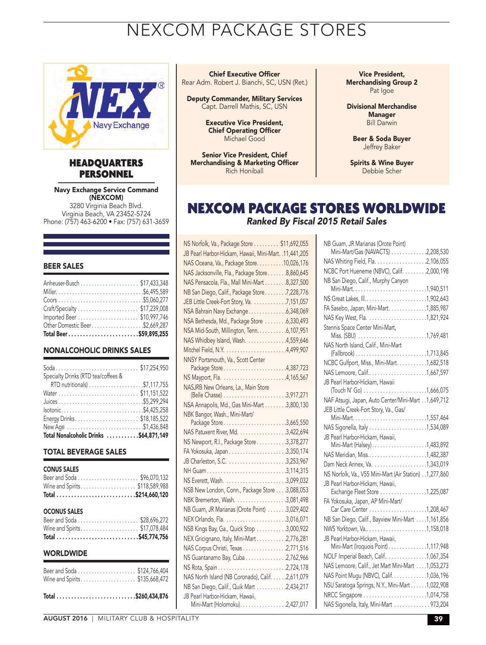# NEXCOM PACKAGE STORES



### HEADQUARTERS PERSONNEL

Navy Exchange Service Command (NEXCOM) 3280 Virginia Beach Blvd. Virginia Beach, VA 23452-5724 Phone: (757) 463-6200 • Fax: (757) 631-3659

#### BEER SALES

| Total Beer\$59,895,255           |  |
|----------------------------------|--|
| Other Domestic Beer. \$2,669,287 |  |
|                                  |  |
|                                  |  |
|                                  |  |
|                                  |  |
|                                  |  |
|                                  |  |

#### NONALCOHOLIC DRINKS SALES

| Soda\$17,254,950                       |
|----------------------------------------|
| Specialty Drinks (RTD tea/coffees &    |
|                                        |
|                                        |
|                                        |
| lsotonic\$4,425,258                    |
| Energy Drinks\$18,185,522              |
| New Age \$1,436,848                    |
| Total Nonalcoholic Drinks \$64,871,149 |

#### TOTAL BEVERAGE SALES

| <b>CONUS SALES</b><br>Wine and Spirits\$118,589,988 |  |
|-----------------------------------------------------|--|
| <b>OCONUS SALES</b><br>Wine and Spirits\$17,078,484 |  |
| <b>WORLDWIDE</b>                                    |  |
| Wine and Spirits\$135,668,472                       |  |

|--|--|--|--|--|--|--|--|--|--|--|--|--|--|--|--|--|--|--|--|--|--|--|--|--|--|--|--|

#### Chief Executive Officer

Rear Adm. Robert J. Bianchi, SC, USN (Ret.)

Deputy Commander, Military Services Capt. Darrell Mathis, SC, USN

> Executive Vice President, Chief Operating Officer Michael Good

Senior Vice President, Chief Merchandising & Marketing Officer Rich Honiball

Vice President, Merchandising Group 2 Pat Igoe

Divisional Merchandise Manager Bill Darwin

Beer & Soda Buyer Jeffrey Baker

Spirits & Wine Buyer Debbie Scher

### NEXCOM PACKAGE STORES WORLDWIDE *Ranked By Fiscal 2015 Retail Sales*

| NS Norfolk, Va., Package Store \$11,692,055            |  |
|--------------------------------------------------------|--|
| JB Pearl Harbor-Hickam, Hawaii, Mini-Mart. .11,441,205 |  |
| NAS Oceana, Va., Package Store. 10,026,176             |  |
| NAS Jacksonville, Fla., Package Store8,860,645         |  |
| NAS Pensacola, Fla., Mall Mini-Mart 8,327,500          |  |
| NB San Diego, Calif., Package Store 7,228,776          |  |
| JEB Little Creek-Fort Story, Va. 7, 151, 057           |  |
| NSA Bahrain Navy Exchange6,348,069                     |  |
| NSA Bethesda, Md., Package Store 6,330,493             |  |
| NSA Mid-South, Millington, Tenn. 6,107,951             |  |
| NAS Whidbey Island, Wash. 4,559,646                    |  |
|                                                        |  |
| NNSY Portsmouth, Va., Scott Center                     |  |
| Package Store4,387,723                                 |  |
|                                                        |  |
| NASJRB New Orleans, La., Main Store                    |  |
| NSA Annapolis, Md., Gas Mini-Mart 3,800,130            |  |
| NBK Bangor, Wash., Mini-Mart/                          |  |
| Package Store3,665,550                                 |  |
| NAS Patuxent River, Md. 3,422,694                      |  |
| NS Newport, R.I., Package Store 3,378,277              |  |
|                                                        |  |
|                                                        |  |
| NH Guam3,114,315                                       |  |
|                                                        |  |
| NSB New London, Conn., Package Store 3,088,053         |  |
|                                                        |  |
| NB Guam, JR Marianas (Orote Point) 3,029,402           |  |
|                                                        |  |
| NSB Kings Bay, Ga., Quick Stop 3,000,922               |  |
| NEX Gricignano, Italy, Mini-Mart 2,776,281             |  |
| NAS Corpus Christi, Texas 2,771,516                    |  |
| NS Guantanamo Bay, Cuba 2,762,966                      |  |
|                                                        |  |
| NAS North Island (NB Coronado), Calif. 2,611,079       |  |
| NB San Diego, Calif., Quik Mart 2,434,217              |  |
| JB Pearl Harbor-Hickam, Hawaii,                        |  |
| Mini-Mart (Holomoku)2,427,017                          |  |

| NB Guam, JR Marianas (Orote Point)                     |  |
|--------------------------------------------------------|--|
| Mini-Mart/Gas (NAVACTS) 2,208,530                      |  |
|                                                        |  |
| NCBC Port Hueneme (NBVC), Calif. 2,000,198             |  |
| NB San Diego, Calif., Murphy Canyon                    |  |
|                                                        |  |
| NS Great Lakes, Ill1,902,643                           |  |
| FA Sasebo, Japan, Mini-Mart. 1,885,987                 |  |
|                                                        |  |
| Stennis Space Center Mini-Mart,                        |  |
| Miss. (SBU) 1,769,481                                  |  |
| NAS North Island, Calif., Mini-Mart                    |  |
|                                                        |  |
| NCBC Gulfport, Miss., Mini-Mart. 1,682,518             |  |
|                                                        |  |
| JB Pearl Harbor-Hickam, Hawaii                         |  |
| (Touch N' Go) 1,666,075                                |  |
| NAF Atsugi, Japan, Auto Center/Mini-Mart 1,649,712     |  |
| JEB Little Creek-Fort Story, Va., Gas/                 |  |
|                                                        |  |
|                                                        |  |
| JB Pearl Harbor-Hickam, Hawaii,                        |  |
|                                                        |  |
| NAS Meridian, Miss1,482,387                            |  |
| Dam Neck Annex, Va. 1,343,019                          |  |
| NS Norfolk, Va., V55 Mini-Mart (Air Station) 1,277,860 |  |
| JB Pearl Harbor-Hickam, Hawaii,                        |  |
| Exchange Fleet Store 1,225,087                         |  |
| FA Yokosuka, Japan, AP Mini-Mart/                      |  |
|                                                        |  |
| NB San Diego, Calif., Bayview Mini-Mart 1,161,856      |  |
|                                                        |  |
| JB Pearl Harbor-Hickam, Hawaii,                        |  |
| Mini-Mart (Iroquois Point) 1,117,948                   |  |
| NOLF Imperial Beach, Calif 1,067,354                   |  |
| NAS Lemoore, Calif., Jet Mart Mini-Mart 1,053,273      |  |
| NAS Point Mugu (NBVC), Calif. 1,036,196                |  |
| NSU Saratoga Springs, N.Y., Mini-Mart1,022,908         |  |
|                                                        |  |
| NAS Sigonella, Italy, Mini-Mart 973,204                |  |